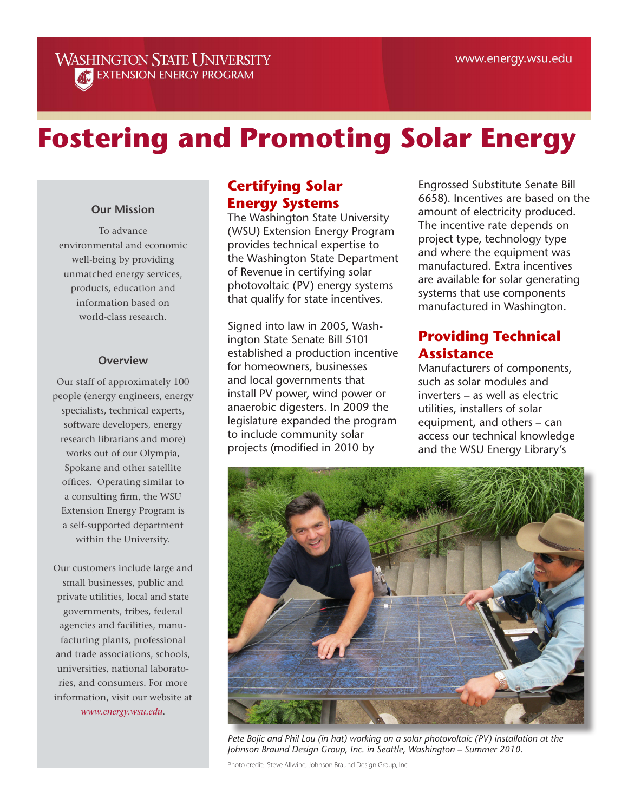#### **WASHINGTON STATE UNIVERSITY AT EXTENSION ENERGY PROGRAM**

# **Fostering and Promoting Solar Energy**

#### **Our Mission**

To advance environmental and economic well-being by providing unmatched energy services, products, education and information based on world-class research.

#### **Overview**

Our staff of approximately 100 people (energy engineers, energy specialists, technical experts, software developers, energy research librarians and more) works out of our Olympia, Spokane and other satellite offices. Operating similar to a consulting firm, the WSU Extension Energy Program is a self-supported department within the University.

Our customers include large and small businesses, public and private utilities, local and state governments, tribes, federal agencies and facilities, manufacturing plants, professional and trade associations, schools, universities, national laboratories, and consumers. For more information, visit our website at *www.energy.wsu.edu*.

### **Certifying Solar Energy Systems**

The Washington State University (WSU) Extension Energy Program provides technical expertise to the Washington State Department of Revenue in certifying solar photovoltaic (PV) energy systems that qualify for state incentives.

Signed into law in 2005, Washington State Senate Bill 5101 established a production incentive for homeowners, businesses and local governments that install PV power, wind power or anaerobic digesters. In 2009 the legislature expanded the program to include community solar projects (modified in 2010 by

Engrossed Substitute Senate Bill 6658). Incentives are based on the amount of electricity produced. The incentive rate depends on project type, technology type and where the equipment was manufactured. Extra incentives are available for solar generating systems that use components manufactured in Washington.

#### **Providing Technical Assistance**

Manufacturers of components, such as solar modules and inverters – as well as electric utilities, installers of solar equipment, and others – can access our technical knowledge and the WSU Energy Library's



*Pete Bojic and Phil Lou (in hat) working on a solar photovoltaic (PV) installation at the Johnson Braund Design Group, Inc. in Seattle, Washington – Summer 2010.*

Photo credit: Steve Allwine, Johnson Braund Design Group, Inc.